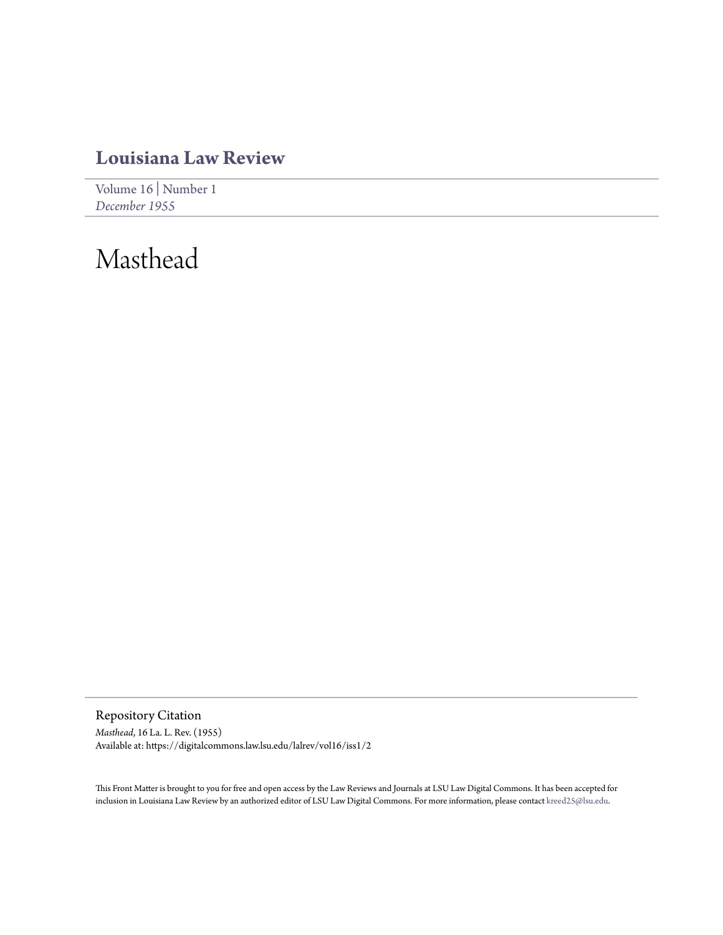## **[Louisiana Law Review](https://digitalcommons.law.lsu.edu/lalrev)**

[Volume 16](https://digitalcommons.law.lsu.edu/lalrev/vol16) | [Number 1](https://digitalcommons.law.lsu.edu/lalrev/vol16/iss1) *[December 1955](https://digitalcommons.law.lsu.edu/lalrev/vol16/iss1)*

## Masthead

Repository Citation *Masthead*, 16 La. L. Rev. (1955) Available at: https://digitalcommons.law.lsu.edu/lalrev/vol16/iss1/2

This Front Matter is brought to you for free and open access by the Law Reviews and Journals at LSU Law Digital Commons. It has been accepted for inclusion in Louisiana Law Review by an authorized editor of LSU Law Digital Commons. For more information, please contact [kreed25@lsu.edu](mailto:kreed25@lsu.edu).